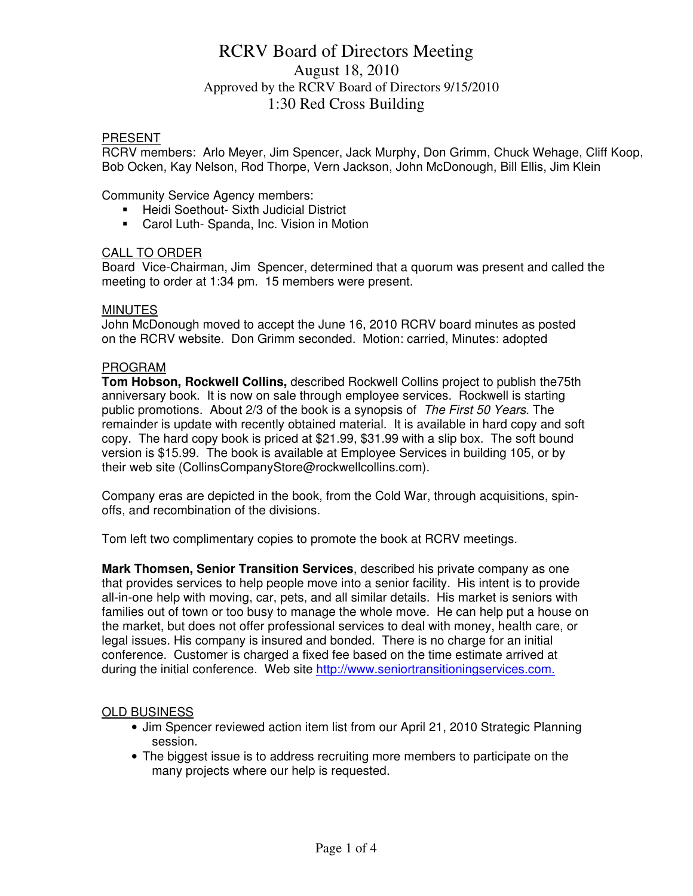## RCRV Board of Directors Meeting August 18, 2010 Approved by the RCRV Board of Directors 9/15/2010 1:30 Red Cross Building

### PRESENT

RCRV members: Arlo Meyer, Jim Spencer, Jack Murphy, Don Grimm, Chuck Wehage, Cliff Koop, Bob Ocken, Kay Nelson, Rod Thorpe, Vern Jackson, John McDonough, Bill Ellis, Jim Klein

Community Service Agency members:

- **Heidi Soethout- Sixth Judicial District**
- Carol Luth- Spanda, Inc. Vision in Motion

### CALL TO ORDER

Board Vice-Chairman, Jim Spencer, determined that a quorum was present and called the meeting to order at 1:34 pm. 15 members were present.

### **MINUTES**

John McDonough moved to accept the June 16, 2010 RCRV board minutes as posted on the RCRV website. Don Grimm seconded. Motion: carried, Minutes: adopted

#### PROGRAM

**Tom Hobson, Rockwell Collins,** described Rockwell Collins project to publish the75th anniversary book. It is now on sale through employee services. Rockwell is starting public promotions. About 2/3 of the book is a synopsis of The First 50 Years. The remainder is update with recently obtained material. It is available in hard copy and soft copy. The hard copy book is priced at \$21.99, \$31.99 with a slip box. The soft bound version is \$15.99. The book is available at Employee Services in building 105, or by their web site (CollinsCompanyStore@rockwellcollins.com).

Company eras are depicted in the book, from the Cold War, through acquisitions, spinoffs, and recombination of the divisions.

Tom left two complimentary copies to promote the book at RCRV meetings.

**Mark Thomsen, Senior Transition Services**, described his private company as one that provides services to help people move into a senior facility. His intent is to provide all-in-one help with moving, car, pets, and all similar details. His market is seniors with families out of town or too busy to manage the whole move. He can help put a house on the market, but does not offer professional services to deal with money, health care, or legal issues. His company is insured and bonded. There is no charge for an initial conference. Customer is charged a fixed fee based on the time estimate arrived at during the initial conference. Web site http://www.seniortransitioningservices.com.

### OLD BUSINESS

- Jim Spencer reviewed action item list from our April 21, 2010 Strategic Planning session.
- The biggest issue is to address recruiting more members to participate on the many projects where our help is requested.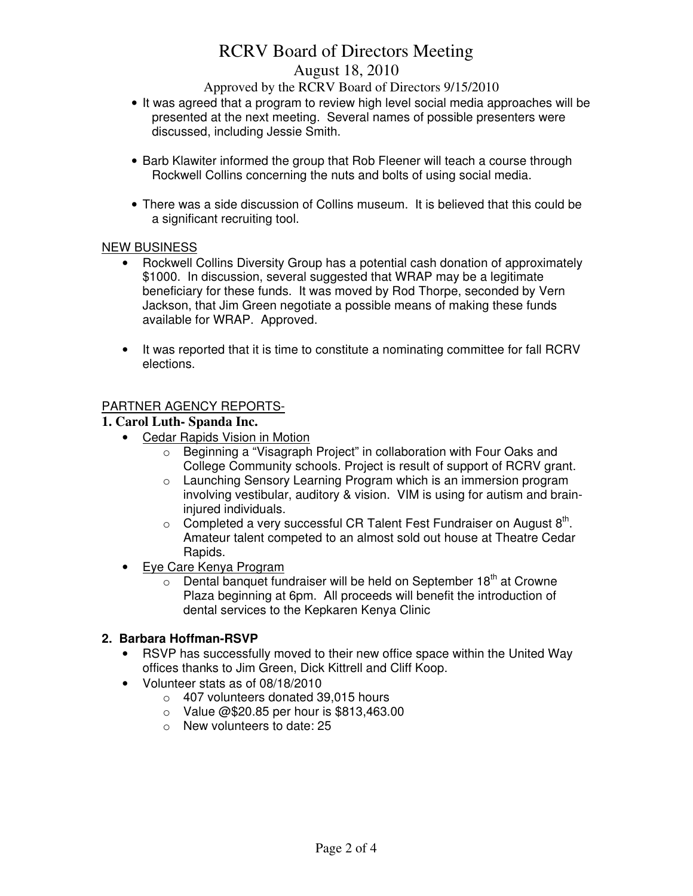# RCRV Board of Directors Meeting August 18, 2010

Approved by the RCRV Board of Directors 9/15/2010

- It was agreed that a program to review high level social media approaches will be presented at the next meeting. Several names of possible presenters were discussed, including Jessie Smith.
- Barb Klawiter informed the group that Rob Fleener will teach a course through Rockwell Collins concerning the nuts and bolts of using social media.
- There was a side discussion of Collins museum. It is believed that this could be a significant recruiting tool.

## NEW BUSINESS

- Rockwell Collins Diversity Group has a potential cash donation of approximately \$1000. In discussion, several suggested that WRAP may be a legitimate beneficiary for these funds. It was moved by Rod Thorpe, seconded by Vern Jackson, that Jim Green negotiate a possible means of making these funds available for WRAP. Approved.
- It was reported that it is time to constitute a nominating committee for fall RCRV elections.

## PARTNER AGENCY REPORTS-

## **1. Carol Luth- Spanda Inc.**

- Cedar Rapids Vision in Motion
	- o Beginning a "Visagraph Project" in collaboration with Four Oaks and College Community schools. Project is result of support of RCRV grant.
	- o Launching Sensory Learning Program which is an immersion program involving vestibular, auditory & vision. VIM is using for autism and braininjured individuals.
	- $\circ$  Completed a very successful CR Talent Fest Fundraiser on August 8<sup>th</sup>. Amateur talent competed to an almost sold out house at Theatre Cedar Rapids.
- Eye Care Kenya Program
	- $\circ$  Dental banquet fundraiser will be held on September 18<sup>th</sup> at Crowne Plaza beginning at 6pm. All proceeds will benefit the introduction of dental services to the Kepkaren Kenya Clinic

## **2. Barbara Hoffman-RSVP**

- RSVP has successfully moved to their new office space within the United Way offices thanks to Jim Green, Dick Kittrell and Cliff Koop.
- Volunteer stats as of 08/18/2010
	- o 407 volunteers donated 39,015 hours
	- o Value @\$20.85 per hour is \$813,463.00
	- o New volunteers to date: 25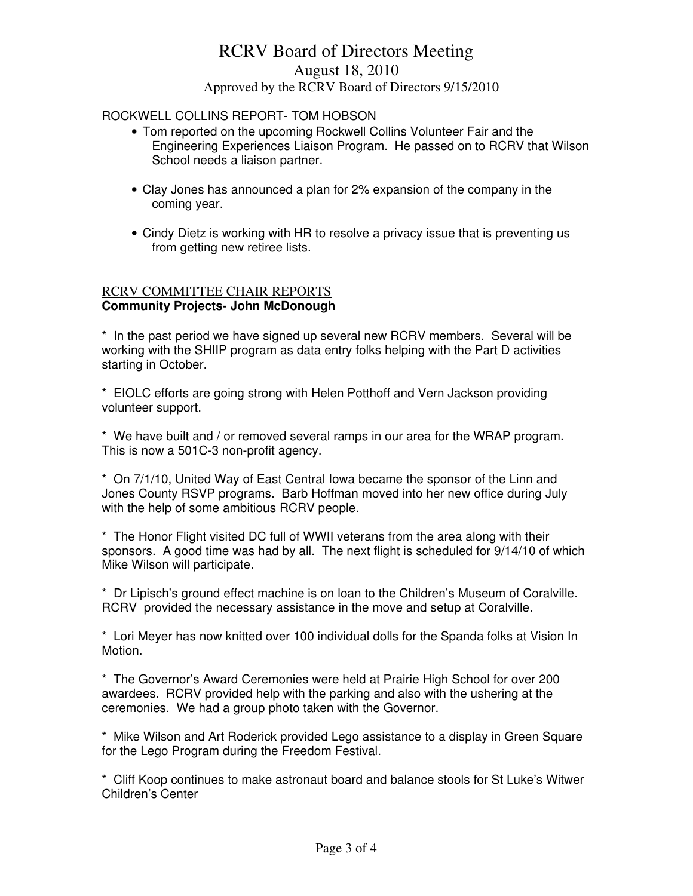## RCRV Board of Directors Meeting August 18, 2010 Approved by the RCRV Board of Directors 9/15/2010

### ROCKWELL COLLINS REPORT- TOM HOBSON

- Tom reported on the upcoming Rockwell Collins Volunteer Fair and the Engineering Experiences Liaison Program. He passed on to RCRV that Wilson School needs a liaison partner.
- Clay Jones has announced a plan for 2% expansion of the company in the coming year.
- Cindy Dietz is working with HR to resolve a privacy issue that is preventing us from getting new retiree lists.

#### RCRV COMMITTEE CHAIR REPORTS **Community Projects- John McDonough**

\* In the past period we have signed up several new RCRV members. Several will be working with the SHIIP program as data entry folks helping with the Part D activities starting in October.

\* EIOLC efforts are going strong with Helen Potthoff and Vern Jackson providing volunteer support.

\* We have built and / or removed several ramps in our area for the WRAP program. This is now a 501C-3 non-profit agency.

\* On 7/1/10, United Way of East Central Iowa became the sponsor of the Linn and Jones County RSVP programs. Barb Hoffman moved into her new office during July with the help of some ambitious RCRV people.

\* The Honor Flight visited DC full of WWII veterans from the area along with their sponsors. A good time was had by all. The next flight is scheduled for 9/14/10 of which Mike Wilson will participate.

\* Dr Lipisch's ground effect machine is on loan to the Children's Museum of Coralville. RCRV provided the necessary assistance in the move and setup at Coralville.

\* Lori Meyer has now knitted over 100 individual dolls for the Spanda folks at Vision In Motion.

\* The Governor's Award Ceremonies were held at Prairie High School for over 200 awardees. RCRV provided help with the parking and also with the ushering at the ceremonies. We had a group photo taken with the Governor.

\* Mike Wilson and Art Roderick provided Lego assistance to a display in Green Square for the Lego Program during the Freedom Festival.

\* Cliff Koop continues to make astronaut board and balance stools for St Luke's Witwer Children's Center